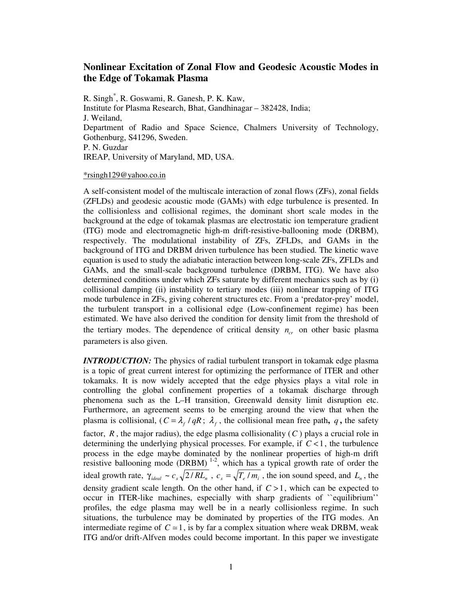## **Nonlinear Excitation of Zonal Flow and Geodesic Acoustic Modes in the Edge of Tokamak Plasma**

R. Singh\* , R. Goswami, R. Ganesh, P. K. Kaw, Institute for Plasma Research, Bhat, Gandhinagar – 382428, India; J. Weiland, Department of Radio and Space Science, Chalmers University of Technology, Gothenburg, S41296, Sweden. P. N. Guzdar IREAP, University of Maryland, MD, USA.

## \*rsingh129@yahoo.co.in

A self-consistent model of the multiscale interaction of zonal flows (ZFs), zonal fields (ZFLDs) and geodesic acoustic mode (GAMs) with edge turbulence is presented. In the collisionless and collisional regimes, the dominant short scale modes in the background at the edge of tokamak plasmas are electrostatic ion temperature gradient (ITG) mode and electromagnetic high-m drift-resistive-ballooning mode (DRBM), respectively. The modulational instability of ZFs, ZFLDs, and GAMs in the background of ITG and DRBM driven turbulence has been studied. The kinetic wave equation is used to study the adiabatic interaction between long-scale ZFs, ZFLDs and GAMs, and the small-scale background turbulence (DRBM, ITG). We have also determined conditions under which ZFs saturate by different mechanics such as by (i) collisional damping (ii) instability to tertiary modes (iii) nonlinear trapping of ITG mode turbulence in ZFs, giving coherent structures etc. From a 'predator-prey' model, the turbulent transport in a collisional edge (Low-confinement regime) has been estimated. We have also derived the condition for density limit from the threshold of the tertiary modes. The dependence of critical density  $n_{cr}$  on other basic plasma parameters is also given.

*INTRODUCTION:* The physics of radial turbulent transport in tokamak edge plasma is a topic of great current interest for optimizing the performance of ITER and other tokamaks. It is now widely accepted that the edge physics plays a vital role in controlling the global confinement properties of a tokamak discharge through phenomena such as the L–H transition, Greenwald density limit disruption etc. Furthermore, an agreement seems to be emerging around the view that when the plasma is collisional,  $(C = \lambda_f / qR; \lambda_f$ , the collisional mean free path, q, the safety factor,  $R$ , the major radius), the edge plasma collisionality  $(C)$  plays a crucial role in determining the underlying physical processes. For example, if *C* <1, the turbulence process in the edge maybe dominated by the nonlinear properties of high-m drift resistive ballooning mode (DRBM)<sup>1-2</sup>, which has a typical growth rate of order the ideal growth rate,  $\gamma_{ideal} \sim c_s \sqrt{2/RL_n}$ ,  $c_s = \sqrt{T_e/m_i}$ , the ion sound speed, and  $L_n$ , the density gradient scale length. On the other hand, if *C* >1, which can be expected to occur in ITER-like machines, especially with sharp gradients of ``equilibrium'' profiles, the edge plasma may well be in a nearly collisionless regime. In such situations, the turbulence may be dominated by properties of the ITG modes. An intermediate regime of  $C \approx 1$ , is by far a complex situation where weak DRBM, weak ITG and/or drift-Alfven modes could become important. In this paper we investigate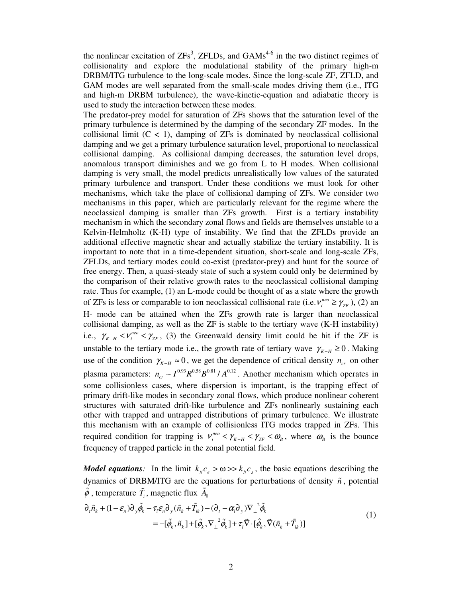the nonlinear excitation of  $ZFs^3$ ,  $ZFLDs$ , and  $GAMs^{4.6}$  in the two distinct regimes of collisionality and explore the modulational stability of the primary high-m DRBM/ITG turbulence to the long-scale modes. Since the long-scale ZF, ZFLD, and GAM modes are well separated from the small-scale modes driving them (i.e., ITG and high-m DRBM turbulence), the wave-kinetic-equation and adiabatic theory is used to study the interaction between these modes.

The predator-prey model for saturation of ZFs shows that the saturation level of the primary turbulence is determined by the damping of the secondary ZF modes. In the collisional limit  $(C < 1)$ , damping of ZFs is dominated by neoclassical collisional damping and we get a primary turbulence saturation level, proportional to neoclassical collisional damping. As collisional damping decreases, the saturation level drops, anomalous transport diminishes and we go from L to H modes. When collisional damping is very small, the model predicts unrealistically low values of the saturated primary turbulence and transport. Under these conditions we must look for other mechanisms, which take the place of collisional damping of ZFs. We consider two mechanisms in this paper, which are particularly relevant for the regime where the neoclassical damping is smaller than ZFs growth. First is a tertiary instability mechanism in which the secondary zonal flows and fields are themselves unstable to a Kelvin-Helmholtz (K-H) type of instability. We find that the ZFLDs provide an additional effective magnetic shear and actually stabilize the tertiary instability. It is important to note that in a time-dependent situation, short-scale and long-scale ZFs, ZFLDs, and tertiary modes could co-exist (predator-prey) and hunt for the source of free energy. Then, a quasi-steady state of such a system could only be determined by the comparison of their relative growth rates to the neoclassical collisional damping rate. Thus for example, (1) an L-mode could be thought of as a state where the growth of ZFs is less or comparable to ion neoclassical collisional rate (i.e.  $v_i^{neo} \ge \gamma_{ZF}$ ), (2) an H- mode can be attained when the ZFs growth rate is larger than neoclassical collisional damping, as well as the ZF is stable to the tertiary wave (K-H instability) i.e.,  $\gamma_{K-H} < v_i^{nee} < \gamma_{ZF}$ , (3) the Greenwald density limit could be hit if the ZF is unstable to the tertiary mode i.e., the growth rate of tertiary wave  $\gamma_{K-H} \geq 0$ . Making use of the condition  $\gamma_{K-H} \approx 0$ , we get the dependence of critical density  $n_{cr}$  on other plasma parameters:  $n_{cr} \sim I^{0.93} R^{0.58} B^{0.81} / A^{0.12}$ . Another mechanism which operates in some collisionless cases, where dispersion is important, is the trapping effect of primary drift-like modes in secondary zonal flows, which produce nonlinear coherent structures with saturated drift-like turbulence and ZFs nonlinearly sustaining each other with trapped and untrapped distributions of primary turbulence. We illustrate this mechanism with an example of collisionless ITG modes trapped in ZFs. This required condition for trapping is  $v_i^{neo} < \gamma_{K-H} < \gamma_{ZF} < \omega_B$ , where  $\omega_B$  is the bounce frequency of trapped particle in the zonal potential field.

*Model equations:* In the limit  $k_{\mu}c_{e} > \omega \gg k_{\mu}c_{s}$ , the basic equations describing the dynamics of DRBM/ITG are the equations for perturbations of density  $\tilde{n}$ , potential  $\tilde{\phi}$ , temperature  $\tilde{T}_i$ , magnetic flux  $\tilde{A}_{\parallel}$ 

$$
\partial_{t}\tilde{n}_{k} + (1 - \varepsilon_{n})\partial_{y}\tilde{\phi}_{k} - \tau_{i}\varepsilon_{n}\partial_{y}(\tilde{n}_{k} + \tilde{T}_{ik}) - (\partial_{t} - \alpha_{i}\partial_{y})\nabla_{\perp}^{2}\tilde{\phi}_{k} \\
= -[\tilde{\phi}_{k}, \tilde{n}_{k}] + [\tilde{\phi}_{k}, \nabla_{\perp}^{2}\tilde{\phi}_{k}] + \tau_{i}\vec{\nabla}\cdot[\hat{\phi}_{k}, \vec{\nabla}(\tilde{n}_{k} + \tilde{T}_{ik})]
$$
\n(1)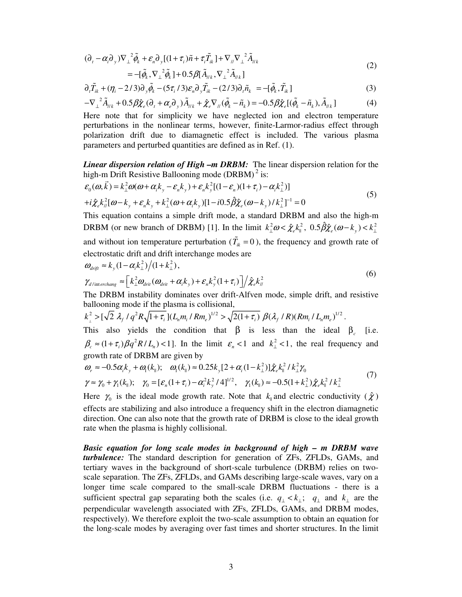$$
(\partial_t - \alpha_i \partial_y) \nabla_{\perp}^2 \tilde{\phi}_k + \varepsilon_n \partial_y [(1 + \tau_i) \tilde{n} + \tau_i \tilde{T}_{ik}] + \nabla_{\mu} \nabla_{\perp}^2 \tilde{A}_{\mu k} = -[\tilde{\phi}_k, \nabla_{\perp}^2 \tilde{\phi}_k] + 0.5 \beta [\tilde{A}_{\mu k}, \nabla_{\perp}^2 \tilde{A}_{\mu k}]
$$
\n(2)

$$
\partial_t \tilde{T}_{ik} + (\eta_i - 2/3) \partial_y \tilde{\phi}_k - (5\tau_i/3) \varepsilon_n \partial_y \tilde{T}_{ik} - (2/3) \partial_t \tilde{n}_k = -[\tilde{\phi}_k, \tilde{T}_{ik}]
$$
\n(3)

$$
-\nabla_{\perp}^2 \tilde{A}_{\parallel k} + 0.5 \beta \hat{\chi}_e (\partial_t + \alpha_e \partial_y) \tilde{A}_{\parallel k} + \hat{\chi}_e \nabla_{\parallel} (\tilde{\phi}_k - \tilde{n}_k) = -0.5 \beta \hat{\chi}_e [(\tilde{\phi}_k - \tilde{n}_k), \tilde{A}_{\parallel k}]
$$
(4)

Here note that for simplicity we have neglected ion and electron temperature perturbations in the nonlinear terms, however, finite-Larmor-radius effect through polarization drift due to diamagnetic effect is included. The various plasma parameters and perturbed quantities are defined as in Ref. (1).

*Linear dispersion relation of High –m DRBM:* The linear dispersion relation for the high-m Drift Resistive Ballooning mode (DRBM)<sup>2</sup> is:

$$
\varepsilon_{0}(\omega, \vec{k}) = k_{\perp}^{2} \omega(\omega + \alpha_{i} k_{y} - \varepsilon_{n} k_{y}) + \varepsilon_{n} k_{y}^{2} [(1 - \varepsilon_{n}) (1 + \tau_{i}) - \alpha_{i} k_{\perp}^{2})]
$$
  
+ $i \hat{\chi}_{e} k_{n}^{2} [\omega - k_{y} + \varepsilon_{n} k_{y} + k_{\perp}^{2} (\omega + \alpha_{i} k_{y}) [1 - i0.5 \hat{\beta} \hat{\chi}_{e} (\omega - k_{y}) / k_{\perp}^{2}]^{-1} = 0$  (5)

This equation contains a simple drift mode, a standard DRBM and also the high-m DRBM (or new branch of DRBM) [1]. In the limit  $k_{\perp}^2 \omega < \hat{\chi}_e k_{\parallel}^2$ ,  $0.5 \hat{\beta} \hat{\chi}_e (\omega - k_y) < k_{\perp}^2$ and without ion temperature perturbation ( $\tilde{T}_{ik} = 0$ ), the frequency and growth rate of electrostatic drift and drift interchange modes are

$$
\omega_{drift} \approx k_y (1 - \alpha_i k_\perp^2) / (1 + k_\perp^2),
$$
  
\n
$$
\gamma_{d/\text{interchange}} \approx \left[ k_\perp^2 \omega_{drit} (\omega_{drit} + \alpha_i k_y) + \varepsilon_n k_y^2 (1 + \tau_i) \right] / \hat{\chi}_e k_\parallel^2
$$
 (6)

The DRBM instability dominates over drift-Alfven mode, simple drift, and resistive ballooning mode if the plasma is collisional,

$$
k_{\perp}^{2} > [\sqrt{2} \ \lambda_{f} / q^{2} R \sqrt{1+\tau_{i}}] (L_{n} m_{i} / R m_{e})^{1/2} > \sqrt{2(1+\tau_{i})} \ \beta(\lambda_{f} / R) (R m_{i} / L_{n} m_{e})^{1/2}.
$$

This also yields the condition that  $\beta$  is less than the ideal  $\beta_c$  [i.e.  $\beta_c \approx (1 + \tau_i) \beta q^2 R / L_n$  < 1]. In the limit  $\varepsilon_n < 1$  and  $k_{\perp}^2 < 1$ , the real frequency and growth rate of DRBM are given by

$$
\omega_r \approx -0.5\alpha_i k_y + \omega_1(k_{\parallel}); \quad \omega_1(k_{\parallel}) \approx 0.25k_y[2 + \alpha_i(1 - k_{\perp}^2)]\hat{\chi}_e k_{\parallel}^2 / k_{\perp}^2 \gamma_0
$$
  

$$
\gamma \approx \gamma_0 + \gamma_1(k_{\parallel}); \quad \gamma_0 = [\varepsilon_n(1 + \tau_i) - \alpha_i^2 k_y^2 / 4]^{1/2}, \quad \gamma_1(k_{\parallel}) \approx -0.5(1 + k_{\perp}^2)\hat{\chi}_e k_{\parallel}^2 / k_{\perp}^2
$$
 (7)

Here  $\gamma_0$  is the ideal mode growth rate. Note that  $k_{\parallel}$  and electric conductivity ( $\hat{\chi}$ ) effects are stabilizing and also introduce a frequency shift in the electron diamagnetic direction. One can also note that the growth rate of DRBM is close to the ideal growth rate when the plasma is highly collisional.

*Basic equation for long scale modes in background of high – m DRBM wave turbulence:* The standard description for generation of ZFs, ZFLDs, GAMs, and tertiary waves in the background of short-scale turbulence (DRBM) relies on twoscale separation. The ZFs, ZFLDs, and GAMs describing large-scale waves, vary on a longer time scale compared to the small-scale DRBM fluctuations - there is a sufficient spectral gap separating both the scales (i.e.  $q_{\perp} < k_{\perp}$ ;  $q_{\perp}$  and  $k_{\perp}$  are the perpendicular wavelength associated with ZFs, ZFLDs, GAMs, and DRBM modes, respectively). We therefore exploit the two-scale assumption to obtain an equation for the long-scale modes by averaging over fast times and shorter structures. In the limit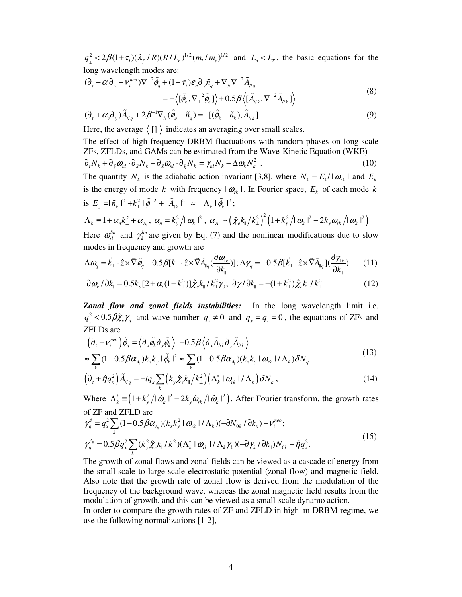$q_{\perp}^2 < 2\beta(1+\tau_i)(\lambda_f/R)(R/L_n)^{1/2}(m_i/m_e)^{1/2}$  and  $L_n < L_T$ , the basic equations for the long wavelength modes are:

$$
(\partial_t - \alpha_i \partial_y + \nu_i^{neo}) \nabla_\perp^2 \tilde{\phi}_q + (1 + \tau_i) \varepsilon_n \partial_y \tilde{n}_q + \nabla_\parallel \nabla_\perp^2 \tilde{A}_{\parallel q}
$$
  
= - \langle [\tilde{\phi}\_k, \nabla\_\perp^2 \tilde{\phi}\_k] \rangle + 0.5 \beta \langle [\tilde{A}\_{\parallel k}, \nabla\_\perp^2 \tilde{A}\_{\parallel k}] \rangle (8)

$$
(\partial_t + \alpha_\ell \partial_y) \tilde{A}_{\ell q} + 2\beta^{-1} \nabla_{\ell q} (\tilde{\phi}_q - \tilde{n}_q) = -[(\tilde{\phi}_k - \tilde{n}_k), \tilde{A}_{\ell k}]
$$
\n(9)

Here, the average  $\langle [] \rangle$  indicates an averaging over small scales.

The effect of high-frequency DRBM fluctuations with random phases on long-scale ZFs, ZFLDs, and GAMs can be estimated from the Wave-Kinetic Equation (WKE)  $\partial_t N_k + \partial_{\bar{k}} \omega_{nl} \cdot \partial_{\bar{x}} N_k - \partial_{\bar{x}} \omega_{nl} \cdot \partial_{\bar{k}} N_k = \gamma_{nl} N_k - \Delta \omega_k N_k^2$ . (10)

The quantity  $N_k$  is the adiabatic action invariant [3,8], where  $N_k = E_k / |\omega_k|$  and  $E_k$ is the energy of mode *k* with frequency  $| \omega_{nk} |$ . In Fourier space,  $E_k$  of each mode *k* is  $E_{k} = |\tilde{n}_{k}|^{2} + k_{\perp}^{2} |\tilde{\phi}|^{2} + |\tilde{A}_{\parallel k}|^{2} \approx \Lambda_{k} |\tilde{\phi}_{k}|^{2};$ 

$$
\Lambda_k = 1 + \alpha_n k_\perp^2 + \alpha_{A_{\parallel}}, \ \alpha_n = k_y^2 / |\omega_k|^2, \ \alpha_{A_{\parallel}} \sim \left( \hat{\chi}_e k_\parallel / k_\perp^2 \right)^2 \left( 1 + k_y^2 / |\omega_k|^2 - 2k_y \omega_{R} / |\omega_k|^2 \right)
$$

Here  $\omega_{rk}^{lin}$  and  $\gamma_k^{lin}$  are given by Eq. (7) and the nonlinear modifications due to slow modes in frequency and growth are

$$
\Delta \omega_q = \vec{k}_{\perp} \cdot \hat{z} \times \vec{\nabla} \tilde{\phi}_q - 0.5 \beta [\vec{k}_{\perp} \cdot \hat{z} \times \vec{\nabla} \tilde{A}_{\parallel q} (\frac{\partial \omega_{\parallel k}}{\partial k_{\parallel}})]; \Delta \gamma_q = -0.5 \beta [\vec{k}_{\perp} \cdot \hat{z} \times \vec{\nabla} \tilde{A}_{\parallel q} ] (\frac{\partial \gamma_{\parallel k}}{\partial k_{\parallel}})
$$
(11)

$$
\partial \omega_r / \partial k_{\parallel} = 0.5 k_y [2 + \alpha_i (1 - k_{\perp}^2)] \hat{\chi}_e k_{\parallel} / k_{\perp}^2 \gamma_0; \ \partial \gamma / \partial k_{\parallel} = -(1 + k_{\perp}^2) \hat{\chi}_e k_{\parallel} / k_{\perp}^2 \tag{12}
$$

*Zonal flow and zonal fields instabilities:* In the long wavelength limit i.e.  $q_x^2 < 0.5 \beta \hat{\chi}_e \gamma_q$  and wave number  $q_x \neq 0$  and  $q_y = q_z = 0$ , the equations of ZFs and ZFLDs are

$$
\begin{split} & \left( \partial_{t} + \mathbf{V}_{i}^{neo} \right) \tilde{\phi}_{q} = \left\langle \partial_{x} \tilde{\phi}_{k} \partial_{y} \tilde{\phi}_{k} \right\rangle - 0.5 \beta \left\langle \partial_{x} \tilde{A}_{\mu k} \partial_{y} \tilde{A}_{\mu k} \right\rangle \\ & \approx \sum_{k} (1 - 0.5 \beta \alpha_{A_{k}}) k_{x} k_{y} \left| \tilde{\phi}_{k} \right|^{2} \approx \sum_{k} (1 - 0.5 \beta \alpha_{A_{k}}) (k_{x} k_{y} \left| \omega_{rk} \right| / \Lambda_{k}) \delta N_{q} \end{split} \tag{13}
$$

$$
\left(\partial_t + \hat{\eta}q_x^2\right)\tilde{A}_{\mu q} = -iq_x \sum_k \left(k_y \hat{\chi}_e k_{\parallel} / k_{\perp}^2\right) \left(\Lambda_k^* \mid \omega_{rk} \mid / \Lambda_k\right) \delta N_k \,,\tag{14}
$$

Where  $\Lambda_k^* = (1 + k_y^2 / |\hat{\omega}_k|^2 - 2k_y \hat{\omega}_{rk} / |\hat{\omega}_k|^2)$ . After Fourier transform, the growth rates of ZF and ZFLD are

$$
\gamma_q^{\phi} = q_x^2 \sum_k (1 - 0.5 \beta \alpha_{A_{\parallel}}) (k_x k_y^2 \mid \omega_{rk} \mid / \Lambda_k) (-\partial N_{0k} / \partial k_x) - \nu_i^{neo};
$$
  

$$
\gamma_q^{A_{\parallel}} = 0.5 \beta q_x^2 \sum_k (k_y^2 \hat{\chi}_e k_{\parallel} / k_{\perp}^2) (\Lambda_k^* \mid \omega_{rk} \mid / \Lambda_k \gamma_k) (-\partial \gamma_k / \partial k_{\parallel}) N_{0k} - \hat{\eta} q_x^2.
$$
 (15)

The growth of zonal flows and zonal fields can be viewed as a cascade of energy from the small-scale to large-scale electrostatic potential (zonal flow) and magnetic field. Also note that the growth rate of zonal flow is derived from the modulation of the frequency of the background wave, whereas the zonal magnetic field results from the modulation of growth, and this can be viewed as a small-scale dynamo action.

In order to compare the growth rates of ZF and ZFLD in high–m DRBM regime, we use the following normalizations [1-2],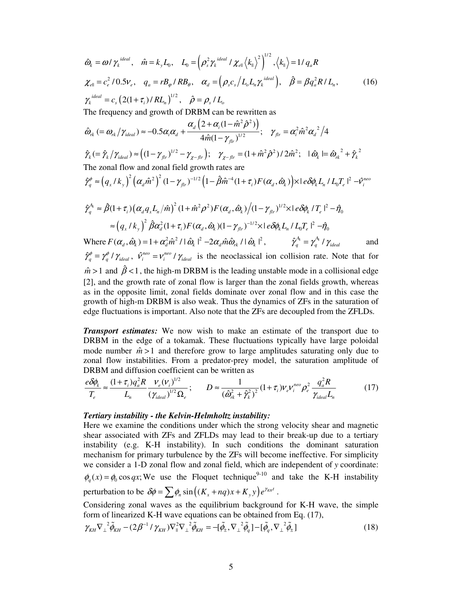$$
\hat{\omega}_{k} = \omega/\gamma_{k}^{ideal}, \quad \hat{m} = k_{y}L_{0}, \quad L_{0} = (\rho_{s}^{2}\gamma_{k}^{ideal}/\chi_{ell} \langle k_{0} \rangle^{2})^{1/2}, \langle k_{0} \rangle = 1/q_{a}R
$$
\n
$$
\chi_{ell} = c_{e}^{2}/0.5\nu_{e}, \quad q_{a} = rB_{\varphi}/RB_{\vartheta}, \quad \alpha_{d} = (\rho_{s}c_{s}/L_{\vartheta}L_{\eta}\gamma_{k}^{ideal}), \quad \hat{\beta} = \beta q_{a}^{2}R/L_{\eta}, \tag{16}
$$
\n
$$
\gamma_{k}^{ideal} = c_{s} (2(1+\tau_{i})/RL_{n})^{1/2}, \quad \hat{\rho} = \rho_{s}/L_{\varphi}
$$
\nThe frequency and growth of DRBM can be rewritten as\n
$$
\hat{\omega}_{rk} (= \omega_{rk}/\gamma_{ideal}) \approx -0.5\alpha_{i}\alpha_{d} + \frac{\alpha_{d}(2+\alpha_{i}(1-\hat{m}^{2}\hat{\rho}^{2}))}{4\hat{m}(1-\gamma_{jn})^{1/2}}; \quad \gamma_{jr} = \alpha_{i}^{2}\hat{m}^{2}\alpha_{d}^{2}/4
$$
\n
$$
\hat{\gamma}_{k} = \hat{\gamma}_{k}/\gamma_{ideal} \approx ((1-\gamma_{jr})^{1/2} - \gamma_{z-n_{r}}); \quad \gamma_{z-n_{r}} = (1+\hat{m}^{2}\hat{\rho}^{2})/2\hat{m}^{2}; \quad |\hat{\omega}_{k}| = \hat{\omega}_{rk}^{2} + \hat{\gamma}_{k}^{2}
$$
\nThe zonal flow and zonal field growth rates are\n
$$
\hat{\gamma}_{q}^{0} \approx (q_{x}/k_{y})^{2} (\alpha_{d}\hat{m}^{2})^{2} (1-\gamma_{jr})^{-1/2} (1-\hat{\beta}\hat{m}^{4}(1+\tau_{i})F(\alpha_{d},\hat{\omega}_{k})) \times 1 e \delta\phi_{k}L_{n}/L_{0}T_{e}^{2} - \hat{\gamma}_{i}^{neo}
$$
\n
$$
\hat{\gamma}_{q}^{A} \approx \hat{\beta}(1+\tau_{i}) (\alpha_{d}q_{x}L_{n}/\hat{m})^{2} (1+\hat{m}^{2}\rho^{2})F(\alpha_{d},\hat{\omega}_{k})/(1-\gamma_{jr})^{1/2} \times 1 e \delta
$$

*Transport estimates:* We now wish to make an estimate of the transport due to DRBM in the edge of a tokamak. These fluctuations typically have large poloidal mode number  $\hat{m} > 1$  and therefore grow to large amplitudes saturating only due to zonal flow instabilities. From a predator-prey model, the saturation amplitude of DRBM and diffusion coefficient can be written as

$$
\frac{e\delta\phi_k}{T_e} \approx \frac{(1+\tau_i)q_a^2 R}{L_n} \frac{V_e(V_i)^{1/2}}{(\gamma_{ideal})^{1/2} \Omega_e}; \qquad D \approx \frac{1}{(\hat{\omega}_{rk}^2 + \hat{\gamma}_k^2)^2} (1+\tau_i) V_e V_i^{neo} \rho_e^2 \frac{q_a^2 R}{\gamma_{ideal} L_n}
$$
(17)

## *Tertiary instability - the Kelvin-Helmholtz instability:*

Here we examine the conditions under which the strong velocity shear and magnetic shear associated with ZFs and ZFLDs may lead to their break-up due to a tertiary instability (e.g. K-H instability). In such conditions the dominant saturation mechanism for primary turbulence by the ZFs will become ineffective. For simplicity we consider a 1-D zonal flow and zonal field, which are independent of *y* coordinate:  $\phi_q(x) = \phi_0 \cos qx$ ; We use the Floquet technique<sup>9-10</sup> and take the K-H instability perturbation to be  $\delta \phi = \sum \phi_n \sin \left( (K_x + nq)x + K_y y \right) e^{\gamma_{KH}t}$ .

Considering zonal waves as the equilibrium background for K-H wave, the simple form of linearized K-H wave equations can be obtained from Eq. (17),

$$
\gamma_{KH} \nabla_{\perp}^2 \tilde{\phi}_{KH} - (2\beta^{-1} / \gamma_{KH}) \nabla_{\perp}^2 \tilde{\phi}_{KH} = -[\tilde{\phi}_{\pm}, \nabla_{\perp}^2 \tilde{\phi}_{q}] - [\tilde{\phi}_{q}, \nabla_{\perp}^2 \tilde{\phi}_{\pm}]
$$
\n(18)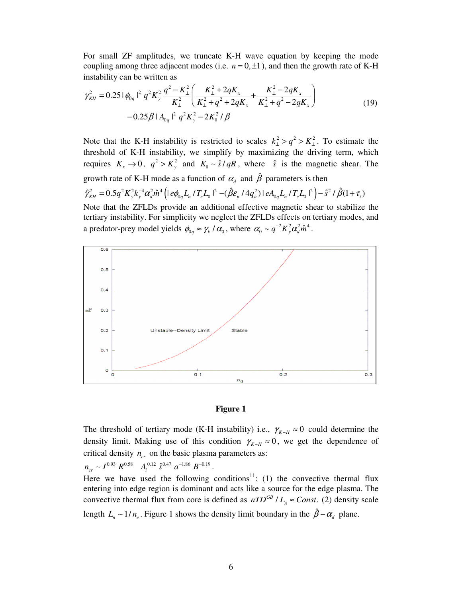For small ZF amplitudes, we truncate K-H wave equation by keeping the mode coupling among three adjacent modes (i.e.  $n = 0, \pm 1$ ), and then the growth rate of K-H instability can be written as

$$
\gamma_{KH}^{2} = 0.25 \left| \phi_{0q} \right|^{2} q^{2} K_{y}^{2} \frac{q^{2} - K_{\perp}^{2}}{K_{\perp}^{2}} \left( \frac{K_{\perp}^{2} + 2qK_{x}}{K_{\perp}^{2} + q^{2} + 2qK_{x}} + \frac{K_{\perp}^{2} - 2qK_{x}}{K_{\perp}^{2} + q^{2} - 2qK_{x}} \right) - 0.25 \beta \left| A_{0q} \right|^{2} q^{2} K_{y}^{2} - 2K_{\parallel}^{2} / \beta
$$
\n(19)

Note that the K-H instability is restricted to scales  $k_1^2 > q^2 > K_1^2$ . To estimate the threshold of K-H instability, we simplify by maximizing the driving term, which requires  $K_x \to 0$ ,  $q^2 > K_y^2$  and  $K_y \sim \hat{s}/qR$ , where  $\hat{s}$  is the magnetic shear. The growth rate of K-H mode as a function of  $\alpha_d$  and  $\hat{\beta}$  parameters is then  $\hat{\gamma}_{\scriptscriptstyle KH}^2 = 0.5 q^2 K_y^2 k_y^2 \alpha_d^2 \hat{m}^4 \left( \frac{\partial \phi_0 L_n}{T_e L_0} \right)^2 - \left( \hat{\beta} \varepsilon_n / 4 q_a^2 \right) \frac{\partial A_0 L_n}{T_e L_0} \left( \frac{T_e L_0}{T_e} \right)^2 - \hat{s}^2 / \hat{\beta} (1 + \tau_i)$ Note that the ZFLDs provide an additional effective magnetic shear to stabilize the tertiary instability. For simplicity we neglect the ZFLDs effects on tertiary modes, and





The threshold of tertiary mode (K-H instability) i.e.,  $\gamma_{K-H} \approx 0$  could determine the density limit. Making use of this condition  $\gamma_{K-H} \approx 0$ , we get the dependence of critical density  $n_{cr}$  on the basic plasma parameters as:

 $n_{cr} \sim I^{0.93} R^{0.58} A_i^{0.12} \hat{s}^{0.47} a^{-1.86} B^{-0.19}.$ 

Here we have used the following conditions<sup>11</sup>: (1) the convective thermal flux entering into edge region is dominant and acts like a source for the edge plasma. The convective thermal flux from core is defined as  $nTD^{GB}/L_n \approx Const.$  (2) density scale length  $L_n \sim 1/n_e$ . Figure 1 shows the density limit boundary in the  $\hat{\beta} - \alpha_d$  plane.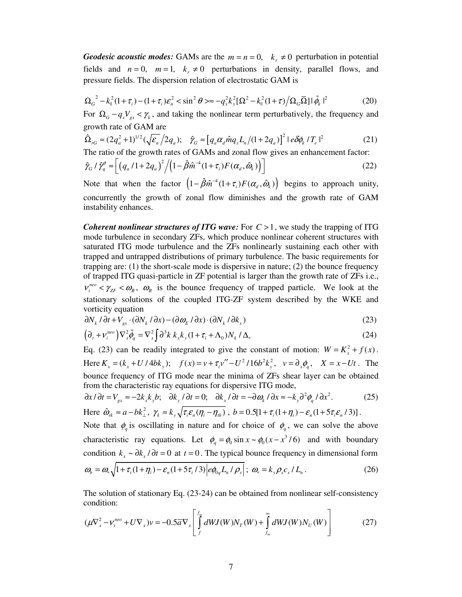*Geodesic acoustic modes:* GAMs are the  $m = n = 0$ ,  $k_r \neq 0$  perturbation in potential fields and  $n = 0$ ,  $m = 1$ ,  $k<sub>r</sub> \neq 0$  perturbations in density, parallel flows, and pressure fields. The dispersion relation of electrostatic GAM is

$$
\Omega_G^2 - k_{\parallel}^2 (1 + \tau_i) - (1 + \tau_i) \varepsilon_n^2 < \sin^2 \theta \geq \approx -q_x^2 k_y^2 [\Omega^2 - k_{\parallel}^2 (1 + \tau) / \Omega_G \overline{\Omega}] |\tilde{\phi}_k|^2 \tag{20}
$$

For  $\Omega_G - q_x V_{gx} < \gamma_k$ , and taking the nonlinear term perturbatively, the frequency and growth rate of GAM are

$$
\hat{\Omega}_{rG} \approx (2q_a^2 + 1)^{1/2} (\sqrt{\varepsilon_n}/2q_a); \quad \hat{\gamma}_G \approx [q_a \alpha_d \hat{m} q_x L_n / (1 + 2q_a)]^2 |\varepsilon \delta \phi_k / T_e|^2
$$
\n(21)

The ratio of the growth rates of GAMs and zonal flow gives an enhancement factor:

$$
\hat{\gamma}_G / \hat{\gamma}_q^{\phi} \approx \left[ \left( q_a / 1 + 2q_a \right)^2 / \left( 1 - \hat{\beta} \hat{m}^{-4} (1 + \tau_i) F(\alpha_a, \hat{\omega}_k) \right) \right]
$$
\n(22)

Note that when the factor  $(1 - \hat{\beta}\hat{m}^{-4}(1 + \tau_i)F(\alpha_a, \hat{\omega}_k))$  begins to approach unity, concurrently the growth of zonal flow diminishes and the growth rate of GAM instability enhances.

*Coherent nonlinear structures of ITG wave:* For  $C > 1$ , we study the trapping of ITG mode turbulence in secondary ZFs, which produce nonlinear coherent structures with saturated ITG mode turbulence and the ZFs nonlinearly sustaining each other with trapped and untrapped distributions of primary turbulence. The basic requirements for trapping are:  $(1)$  the short-scale mode is dispersive in nature;  $(2)$  the bounce frequency of trapped ITG quasi-particle in ZF potential is larger than the growth rate of ZFs i.e.,  $v_i^{n_e} < \gamma_{ZF} < \omega_B$ ,  $\omega_B$  is the bounce frequency of trapped particle. We look at the stationary solutions of the coupled ITG-ZF system described by the WKE and vorticity equation

$$
\partial N_k / \partial t + V_{gx} \cdot (\partial N_k / \partial x) - (\partial \omega_E / \partial x) \cdot (\partial N_k / \partial k_x)
$$
\n(23)

$$
\left(\partial_t + \nu_i^{neo}\right) \nabla_x^2 \tilde{\phi}_q = \nabla_x^2 \int \partial^3 k \ k_x k_y (1 + \tau_i + \Lambda_0) N_k / \Delta_* \tag{24}
$$

Eq. (23) can be readily integrated to give the constant of motion:  $W = K_x^2 + f(x)$ . Here  $K_x = (k_x + U / 4bk_y);$   $f(x) = v + \tau_i v'' - U^2 / 16b^2 k_y^2, v = \partial_x \phi_q, X = x - Ut$ . The bounce frequency of ITG mode near the minima of ZFs shear layer can be obtained from the characteristic ray equations for dispersive ITG mode,

$$
\partial x / \partial t = V_{gx} \approx -2k_x k_y b; \quad \partial k_y / \partial t = 0; \quad \partial k_x / \partial t = -\partial \omega_k / \partial x \approx -k_y \partial^2 \phi_q / \partial x^2.
$$
 (25)  
Here  $\hat{\omega}_{rk} \approx a - bk_\perp^2$ ,  $\gamma_k \approx k_y \sqrt{\tau_i \varepsilon_n (\eta_i - \eta_{ih})}$ ,  $b = 0.5[1 + \tau_i (1 + \eta_i) - \varepsilon_n (1 + 5\tau_i \varepsilon_n / 3)]$ .

Note that  $\phi_q$  is oscillating in nature and for choice of  $\phi_q$ , we can solve the above characteristic ray equations. Let  $\phi_q = \phi_0 \sin x \sim \phi_0 (x - x^3 / 6)$  and with boundary condition  $k_x \sim \partial k_x / \partial t = 0$  at  $t = 0$ . The typical bounce frequency in dimensional form  $\omega_{b} = \omega_{*} \sqrt{1 + \tau_{i} (1 + \eta_{i}) - \varepsilon_{n} (1 + 5\tau_{i}/3)} \left| e\phi_{0q} L_{n} / \rho_{s} \right|; \ \omega_{*} = k_{y} \rho_{s} c_{s} / L_{n} \,.$  (26)

The solution of stationary Eq. 
$$
(23-24)
$$
 can be obtained from nonlinear self-consistency

condition:

$$
(\mu \nabla_x^2 - \nu_i^{neo} + U \nabla_x)v = -0.5\overline{\alpha}\nabla_x \left[ \int_f^{f_m} dW J(W) N_T(W) + \int_{f_m}^{\infty} dW J(W) N_U(W) \right]
$$
(27)